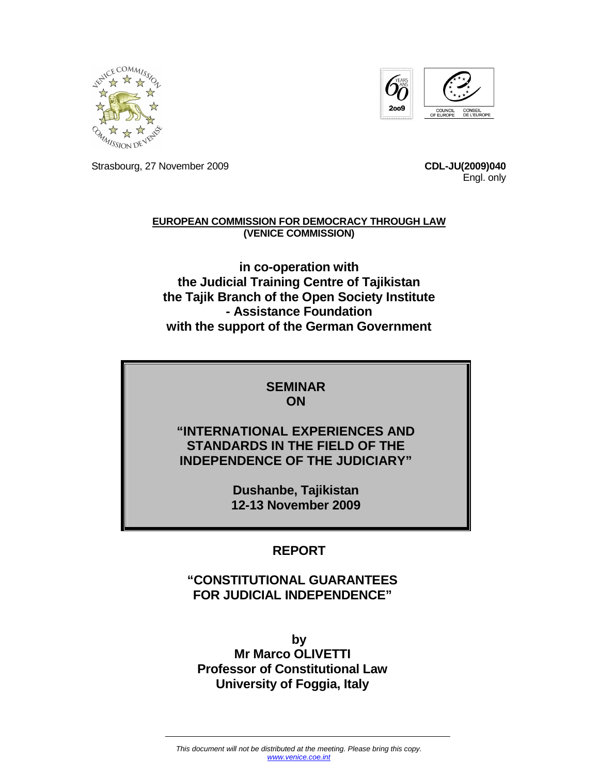



Strasbourg, 27 November 2009 **CDL-JU(2009)040**

Engl. only

#### **EUROPEAN COMMISSION FOR DEMOCRACY THROUGH LAW (VENICE COMMISSION)**

**in co-operation with the Judicial Training Centre of Tajikistan the Tajik Branch of the Open Society Institute - Assistance Foundation with the support of the German Government** 

#### **SEMINAR ON**

#### **"INTERNATIONAL EXPERIENCES AND STANDARDS IN THE FIELD OF THE INDEPENDENCE OF THE JUDICIARY"**

**Dushanbe, Tajikistan 12-13 November 2009** 

#### **REPORT**

#### **"CONSTITUTIONAL GUARANTEES FOR JUDICIAL INDEPENDENCE"**

**by Mr Marco OLIVETTI Professor of Constitutional Law University of Foggia, Italy**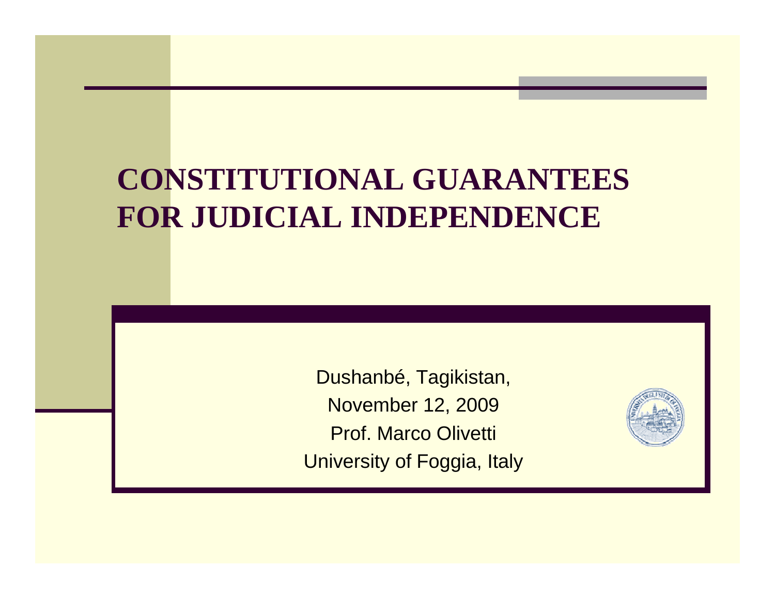#### **CONSTITUTIONAL GUARANTEES FOR JUDICIAL INDEPENDENCE**

Dushanbé, Tagikistan,November 12, 2009Prof. Marco Olivetti University of Foggia, Italy

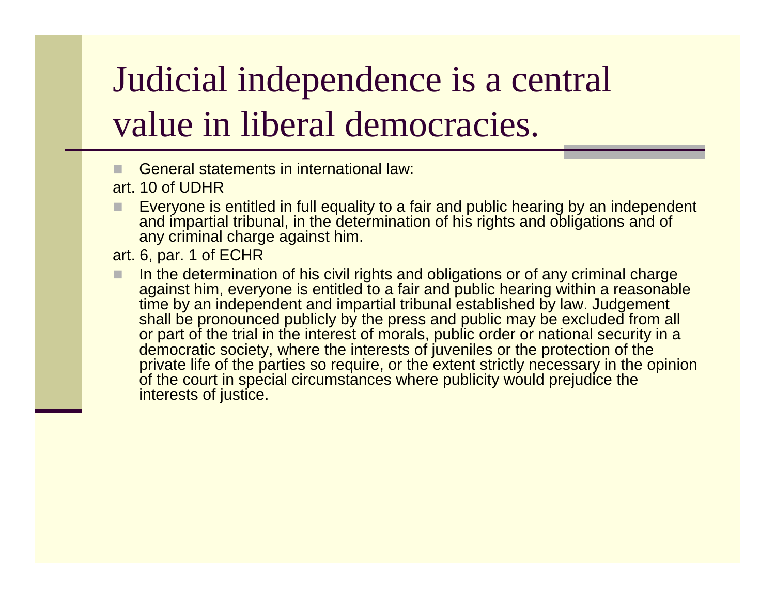# Judicial independence is a central value in liberal democracies.

General statements in international law:

art. 10 of UDHR

- Everyone is entitled in full equality to a fair and public hearing by an independent and importial tribunal in the determination of his rights and obligations and of and impartial tribunal, in the determination of his rights and obligations and of any criminal charge against him.
- art. 6, par. 1 of ECHR
- In the determination of his civil rights and obligations or of any criminal charge<br>against him, everyone is entitled to a fair and public bearing within a reasonabl against him, everyone is entitled to a fair and public hearing within a reasonable time by an independent and impartial tribunal established by law. Judgement shall be pronounced publicly by the press and public may be excluded from all or part of the trial in the interest of morals, public order or national security in a democratic society, where the interests of juveniles or the protection of the private life of the parties so require, or the extent strictly necessary in the opinion of the court in special circumstances where publicity would prejudice the interests of justice.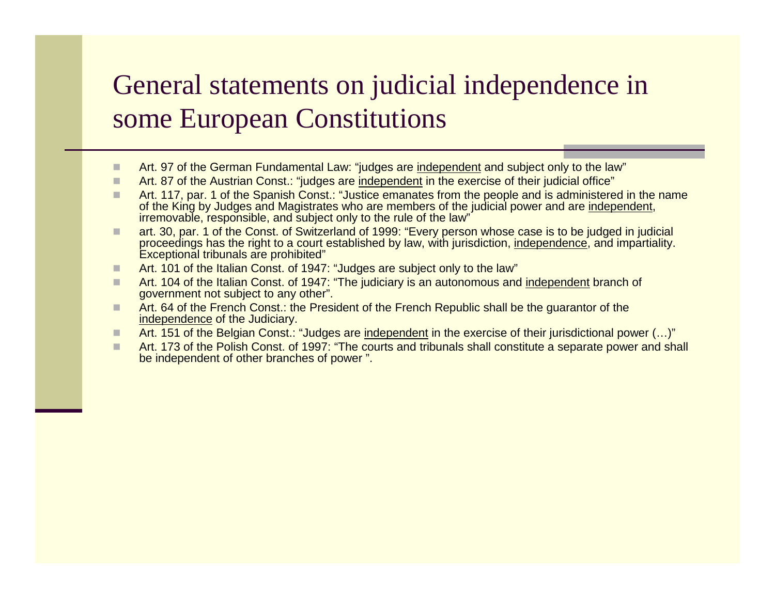#### General statements on judicial independence in some European Constitutions

- Art. 97 of the German Fundamental Law: "judges are independent and subject only to the law"
- п Art. 87 of the Austrian Const.: "judges are independent in the exercise of their judicial office"
- п Art. 117, par. 1 of the Spanish Const.: "Justice emanates from the people and is administered in the name of the King by Judges and Magistrates who are members of the judicial power and are independent, irremovable, responsible, and subject only to the rule of the law"
- art. 30, par. 1 of the Const. of Switzerland of 1999: "Every person whose case is to be judged in judicial<br>Proceedings has the right to a sourt established by law, with jurisdiction, independence, and impartiality ш proceedings has the right to a court established by law, with jurisdiction, independence, and impartiality. Exceptional tribunals are prohibited"
- Art. 101 of the Italian Const. of 1947: "Judges are subject only to the law" п
- п Art. 104 of the Italian Const. of 1947: "The judiciary is an autonomous and independent branch of government not subject to any other".
- Art. 64 of the French Const.: the President of the French Republic shall be the guarantor of the independence of the Judician ш independence of the Judiciary.
- $\Box$ Art. 151 of the Belgian Const.: "Judges are independent in the exercise of their jurisdictional power (…)"
- Art. 173 of the Polish Const. of 1997: "The courts and tribunals shall constitute a separate power and shall be independent of other branches of power ".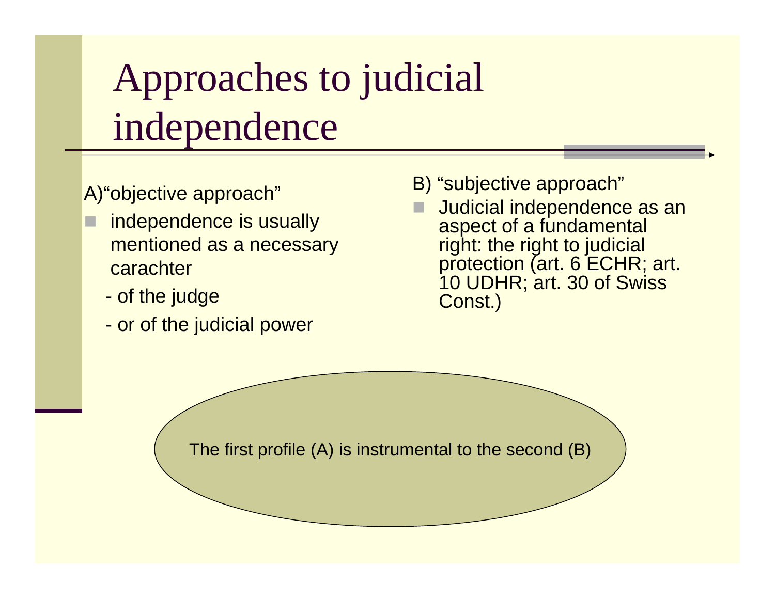# Approaches to judicial independence

A)"objective approach"

- □ independence is usually mentioned as a necessary carachter
	- of the judge
	- or of the judicial power
- B) "subjective approach"
- **Judicial independence as an<br>aspect of a fundamental** aspect of a fundamental right: the right to judicial protection (art. 6 ECHR; art. 10 UDHR; art. 30 of Swiss Const.)

The first profile (A) is instrumental to the second (B)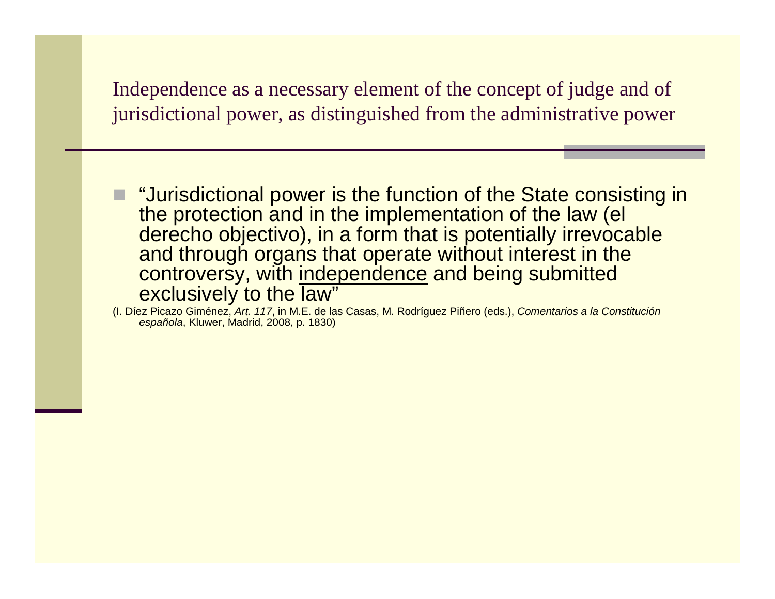Independence as a necessary element of the concept of judge and of jurisdictional power, as distinguished from the administrative power

■ "Jurisdictional power is the function of the State consisting in<br>the protection and in the implementation of the law (el the protection and in the implementation of the law (el derecho objectivo), in a form that is potentially irrevocable and through organs that operate without interest in the controversy, with independence and being submitted exclusively to the law"

 (I. Díez Picazo Giménez, Art. 117, in M.E. de las Casas, M. Rodríguez Piñero (eds.), Comentarios a la Constituciónespañola, Kluwer, Madrid, 2008, p. 1830)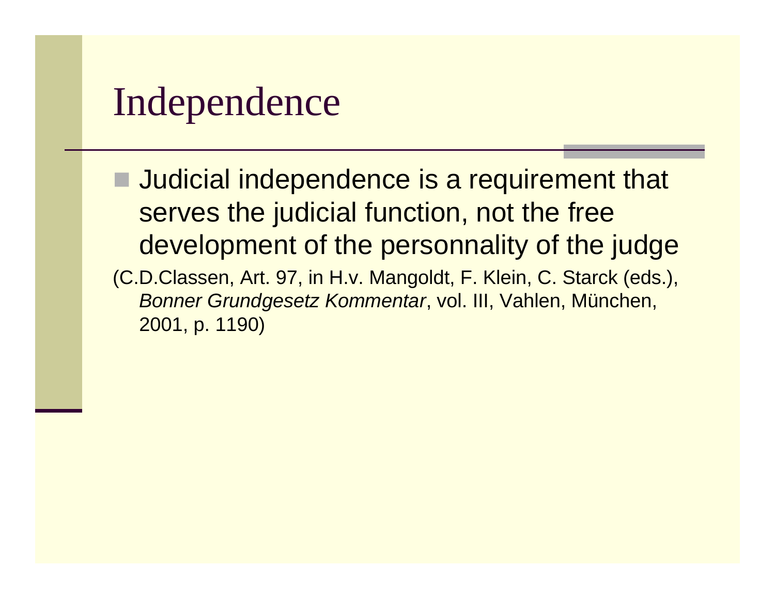#### Independence

**Judicial independence is a requirement that** serves the judicial function, not the free development of the personnality of the judge (C.D.Classen, Art. 97, in H.v. Mangoldt, F. Klein, C. Starck (eds.), Bonner Grundgesetz Kommentar, vol. III, Vahlen, München, 2001, p. 1190)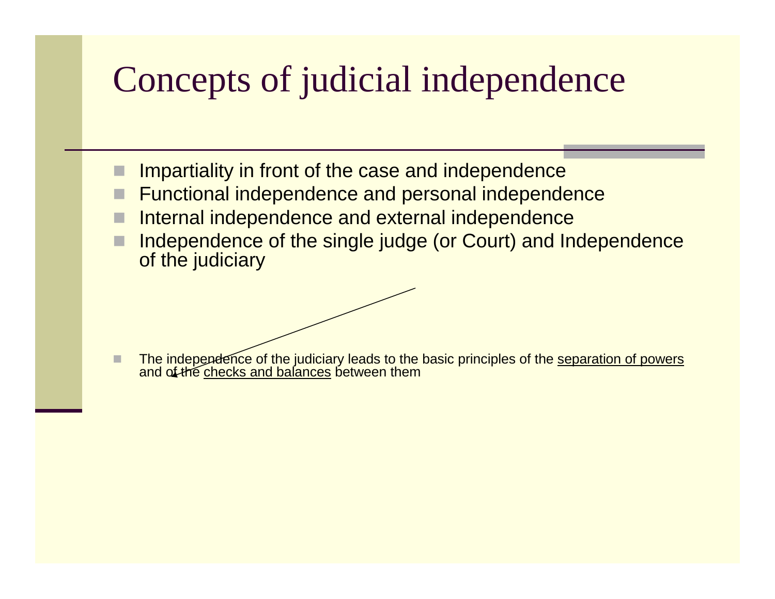### Concepts of judicial independence

- Impartiality in front of the case and independence
- Functional independence and personal independence
- Internal independence and external independence
- Independence of the single judge (or Court) and Independence of the judiciary

■ The independence of the judiciary leads to the basic principles of the <u>separation of powers</u><br>and of the <u>checks and balances</u> between them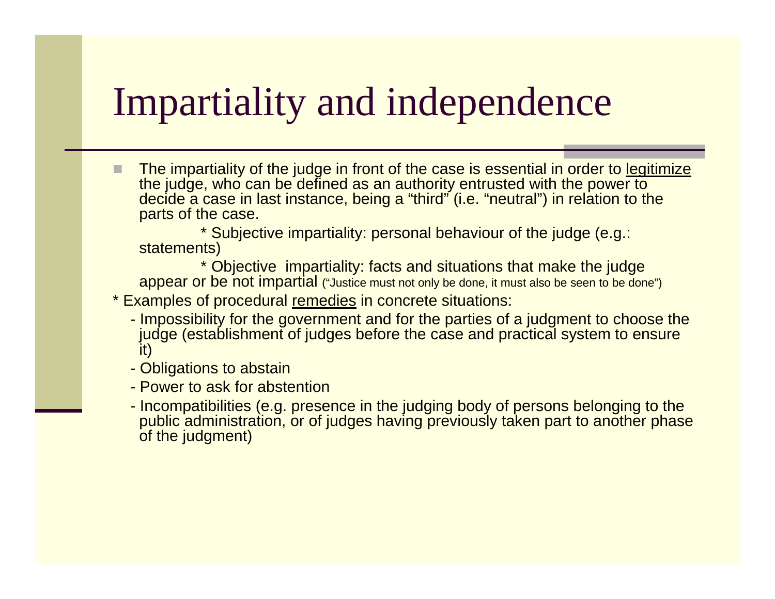# Impartiality and independence

 The impartiality of the judge in front of the case is essential in order to legitimize the judge, who can be defined as an authority entrusted with the power to decide a case in last instance, being a "third" (i.e. "neutral") in relation to the parts of the case.

\* Subjective impartiality: personal behaviour of the judge (e.g.: statements)

 \* Objective impartiality: facts and situations that make the judge appear or be not impartial ("Justice must not only be done, it must also be seen to be done")\* Examples of procedural remedies in concrete situations:

- Impossibility for the government and for the parties of a judgment to choose the judge (establishment of judges before the case and practical system to ensure it)
- Obligations to abstain
- Power to ask for abstention
- Incompatibilities (e.g. presence in the judging body of persons belonging to the public administration, or of judges having previously taken part to another phase of the judgment)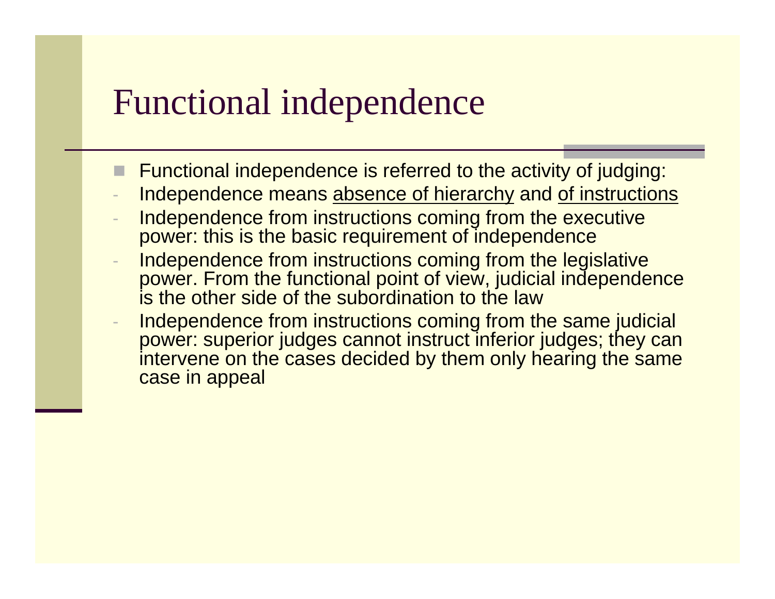#### Functional independence

- Functional independence is referred to the activity of judging:
- Independence means absence of hierarchy and of instructions
- Independence from instructions coming from the executive power: this is the basic requirement of independence
- Independence from instructions coming from the legislative power. From the functional point of view, judicial independence is the other side of the subordination to the law
- Independence from instructions coming from the same judicial power: superior judges cannot instruct inferior judges; they can intervene on the cases decided by them only hearing the same case in appeal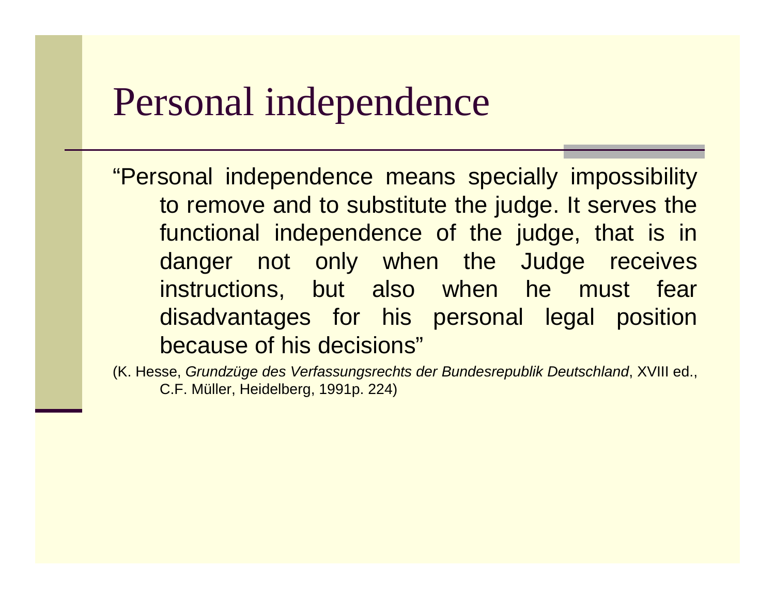#### Personal independence

"Personal independence means specially impossibility to remove and to substitute the judge. It serves the functional independence of the judge, that is in danger not only when the Judge receives instructions, but also when he must fear disadvantages for his personal legal position because of his decisions"

(K. Hesse, Grundzüge des Verfassungsrechts der Bundesrepublik Deutschland, XVIII ed., C.F. Müller, Heidelberg, 1991p. 224)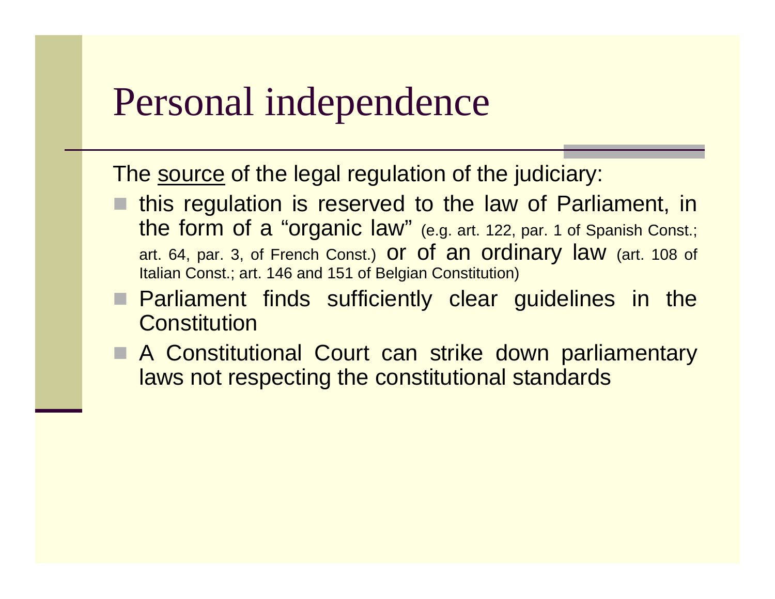#### Personal independence

The <u>source</u> of the legal regulation of the judiciary:

- this regulation is reserved to the law of Parliament, in the form of a "organic law" (e.g. art. 122, par. 1 of Spanish Const.; art. 64, par. 3, of French Const.) O**r Of an Ordinary law** (art. 108 of Italian Const.; art. 146 and 151 of Belgian Constitution)
- **Parliament finds sufficiently clear guidelines in the Constitution Constitution**
- A Constitutional Court can strike down parliamentary laws not respecting the constitutional standards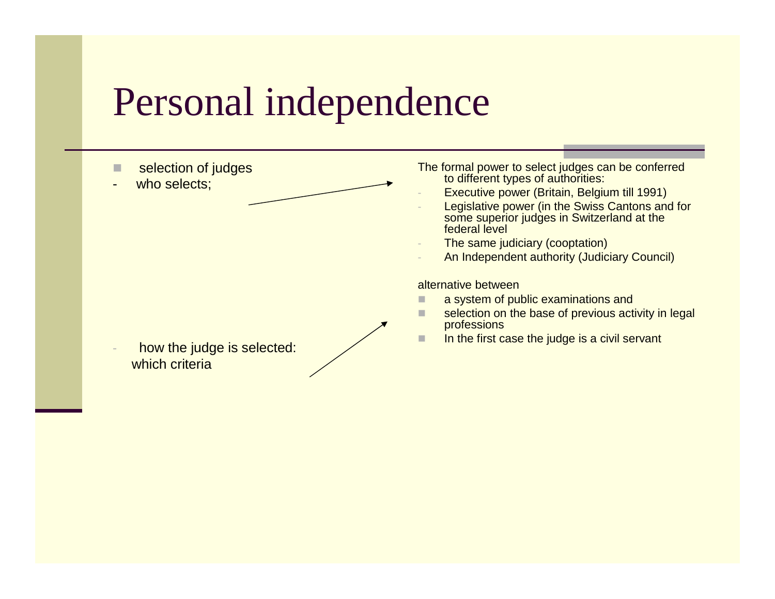### Personal independence

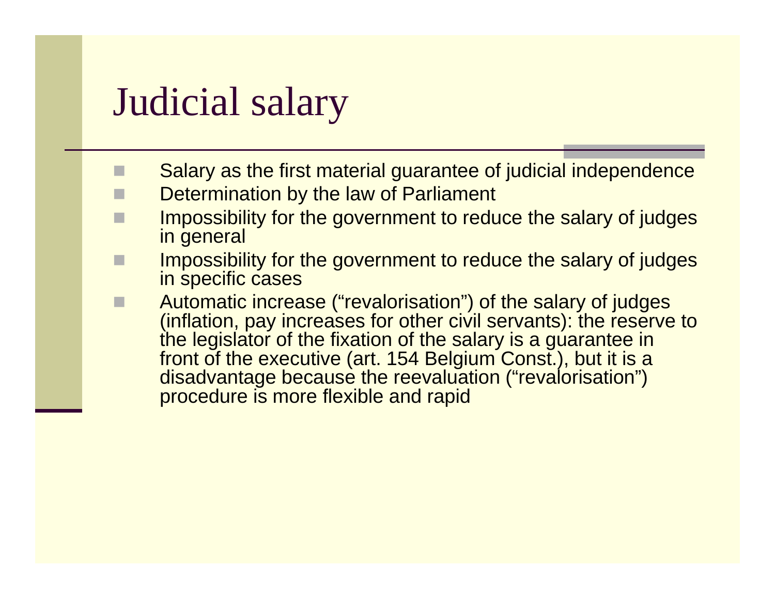#### Judicial salary

- $\Box$ Salary as the first material guarantee of judicial independence
- Determination by the law of Parliament
- Impossibility for the government to reduce the salary of judges in general
- H Impossibility for the government to reduce the salary of judges in specific cases
- **EXECUTE:** Automatic increase ("revalorisation") of the salary of judges<br>(inflation, nay increases for other civil servants); the reserve П (inflation, pay increases for other civil servants): the reserve to the legislator of the fixation of the salary is a guarantee in front of the executive (art. 154 Belgium Const.), but it is a disadvantage because the reevaluation ("revalorisation") procedure is more flexible and rapid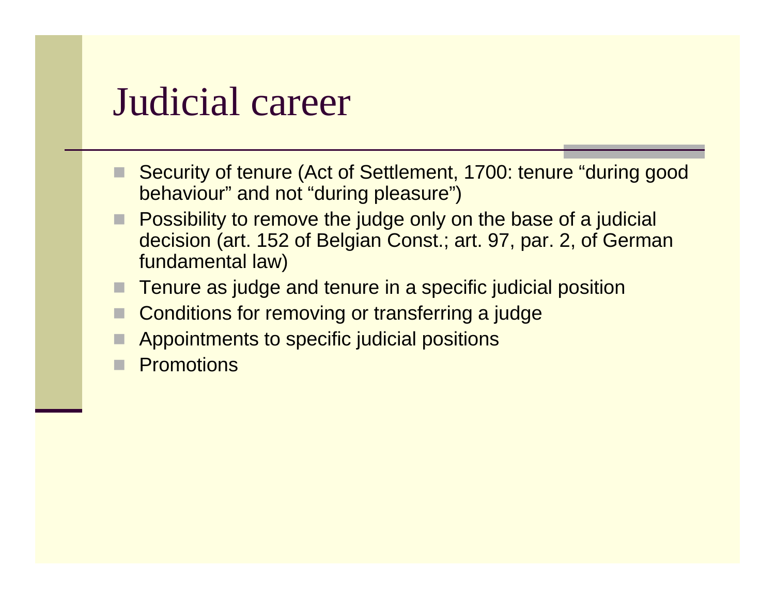#### Judicial career

- Security of tenure (Act of Settlement, 1700: tenure "during good" behaviour" and not "during pleasure")
- Possibility to remove the judge only on the base of a judicial decision (art. 152 of Belgian Const.; art. 97, par. 2, of Germanfundamental law)
- Tenure as judge and tenure in a specific judicial position
- Conditions for removing or transferring a judge
- H Appointments to specific judicial positions
- **Promotions**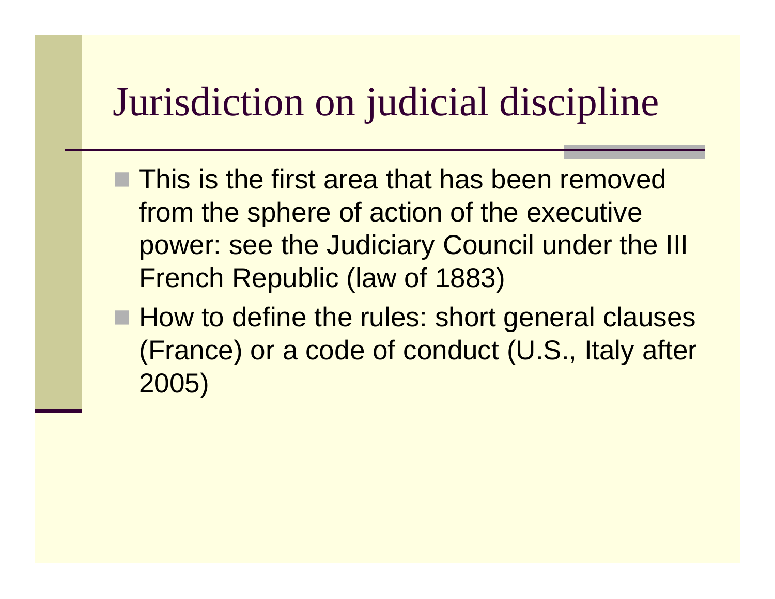# Jurisdiction on judicial discipline

- This is the first area that has been removed from the sphere of action of the executive power: see the Judiciary Council under the III French Republic (law of 1883)
- How to define the rules: short general clauses (France) or a code of conduct (U.S., Italy after 2005)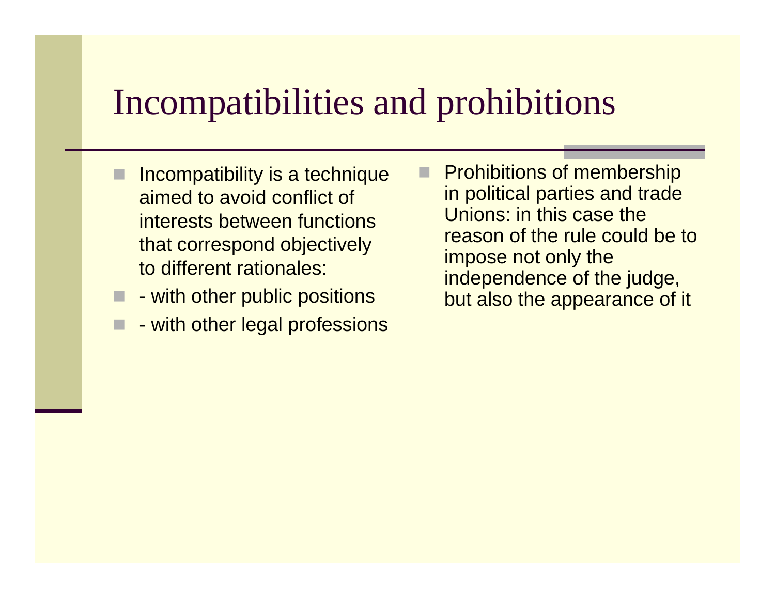#### Incompatibilities and prohibitions

- Incompatibility is a technique aimed to avoid conflict of interests between functions that correspond objectively to different rationales:
- with other public positions
- H - with other legal professions
- п Prohibitions of membership in political parties and trade Unions: in this case the reason of the rule could be to impose not only the independence of the judge, but also the appearance of it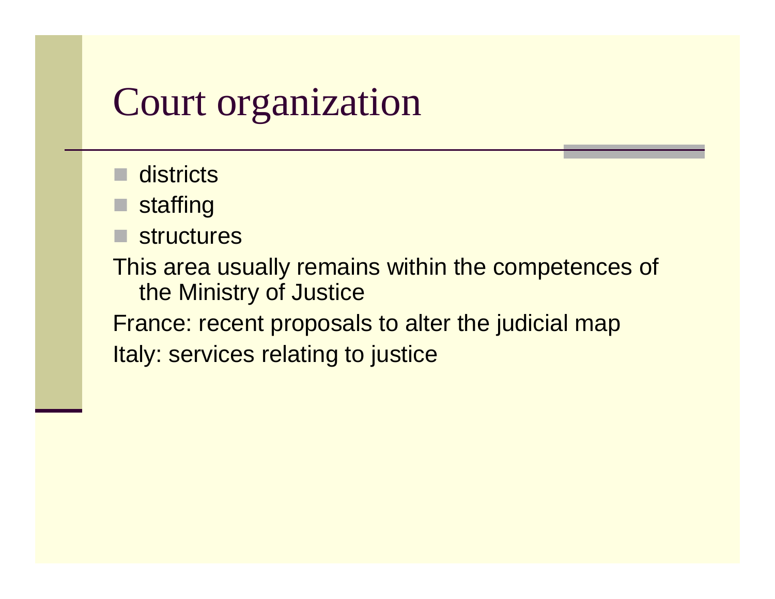### Court organization

- $\blacksquare$  districts
- staffing
- structures<br>—∷

This area usually remains within the competences ofthe Ministry of Justice

 France: recent proposals to alter the judicial mapItaly: services relating to justice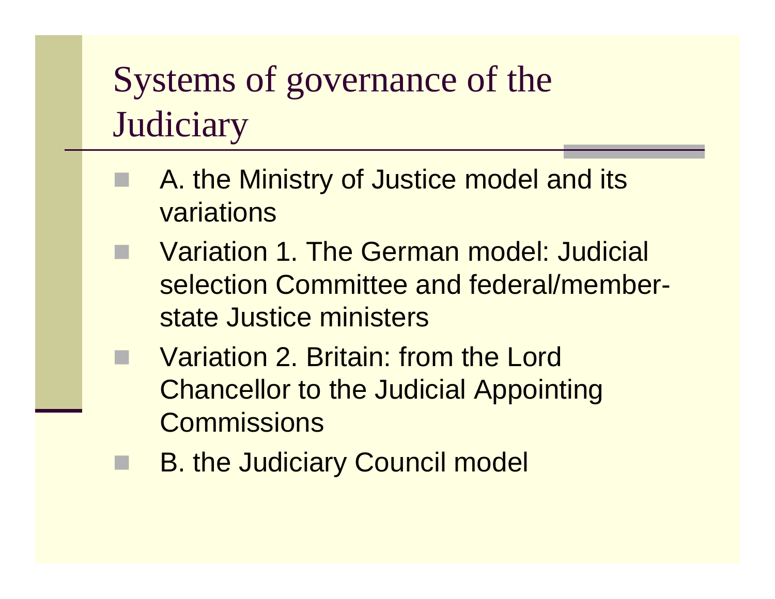# Systems of governance of the **Judiciary**

- F A. the Ministry of Justice model and its **variations**
- **No Variation 1. The German model: Judicial** selection Committee and federal/memberstate Justice ministers
- k. Variation 2. Britain: from the Lord Chancellor to the Judicial Appointing **Commissions** 
	- B. the Judiciary Council model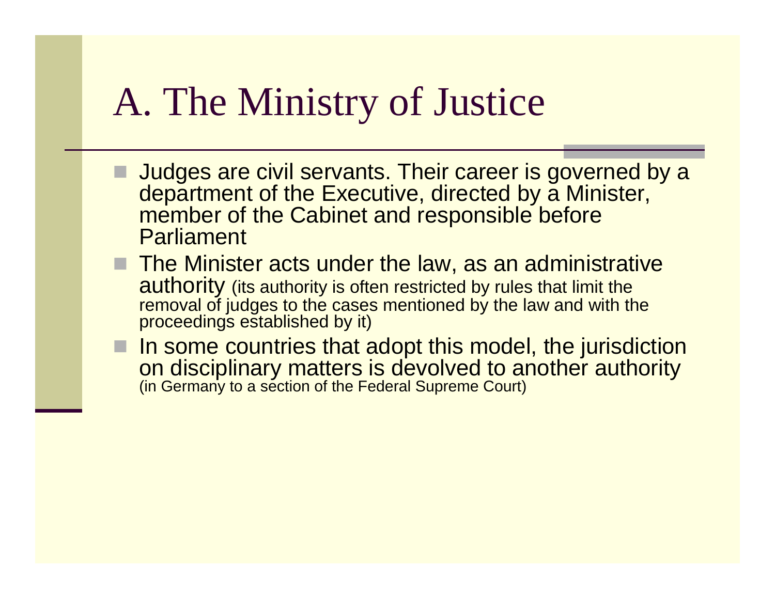### A. The Ministry of Justice

- Judges are civil servants. Their career is governed by a<br>department of the Executive directed by a Minister department of the Executive, directed by a Minister, member of the Cabinet and responsible before **Parliament**
- $\blacksquare$  The Minister acts under the law, as an administrative authority (its outhority is often restricted by rules that limit the authority (its authority is often restricted by rules that limit the removal of judges to the cases mentioned by the law and with theproceedings established by it)
- I In some countries that adopt this model, the jurisdiction and disciplinary matters is devolved to another authority on disciplinary matters is devolved to another authority (in Germany to a section of the Federal Supreme Court)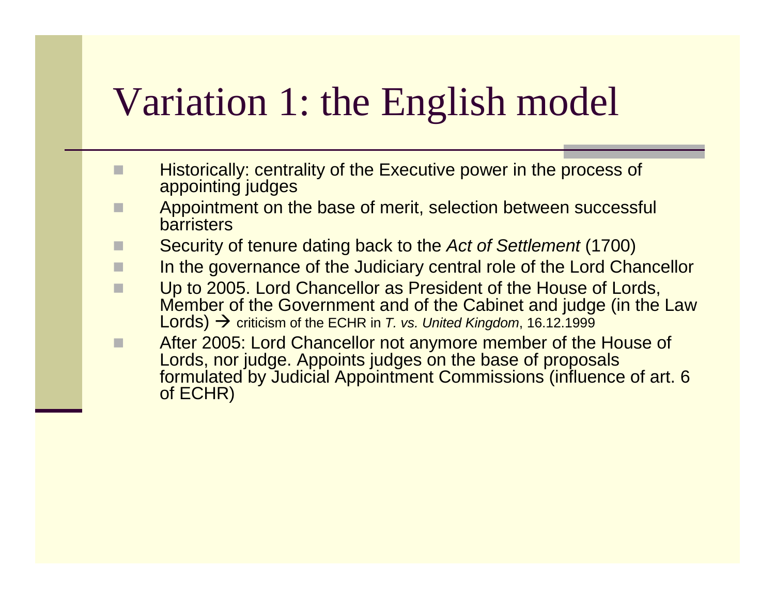# Variation 1: the English model

- $\Box$  Historically: centrality of the Executive power in the process of appointing judges
- **EXECUTE:** Appointment on the base of merit, selection between successful<br>berristers  $\Box$ barristers
- Security of tenure dating back to the Act of Settlement (1700) П
- In the governance of the Judiciary central role of the Lord Chancellor
- П Up to 2005. Lord Chancellor as President of the House of Lords, Member of the Government and of the Cabinet and judge (in the Law Lords) → criticism of the ECHR in *T. vs. United Kingdom*, 16.12.1999<br>After 2005: Lord Chancellor not anymore member of the
- After 2005: Lord Chancellor not anymore member of the House of  $\Box$ Lords, nor judge. Appoints judges on the base of proposals formulated by Judicial Appointment Commissions (influence of art. 6 of ECHR)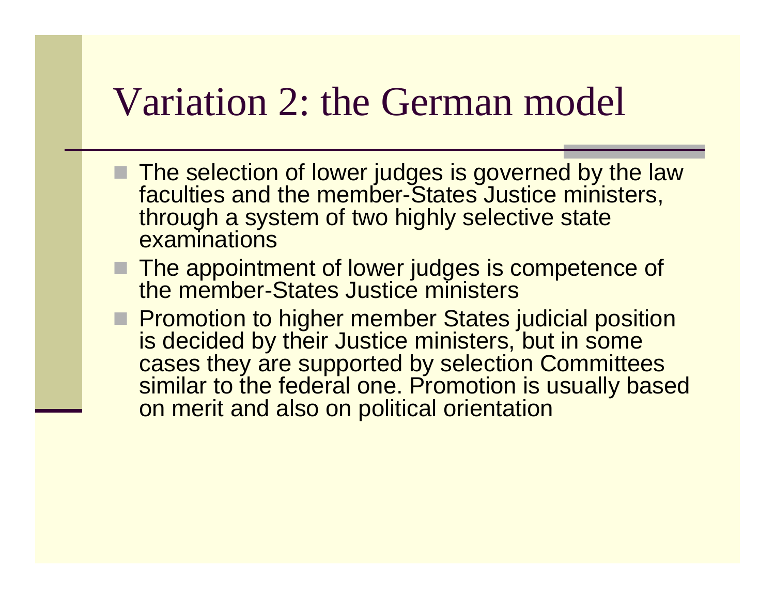### Variation 2: the German model

- The selection of lower judges is governed by the law<br>faculties and the member-States, lustice ministers faculties and the member-States Justice ministers, through a system of two highly selective state **examinations**
- The appointment of lower judges is competence of<br>the member-States Justice ministers the member-States Justice ministers
- **Promotion to higher member States judicial position**<br>is decided by their, lustice ministers, but in some is decided by their Justice ministers, but in some cases they are supported by selection Committees similar to the federal one. Promotion is usually based on merit and also on political orientation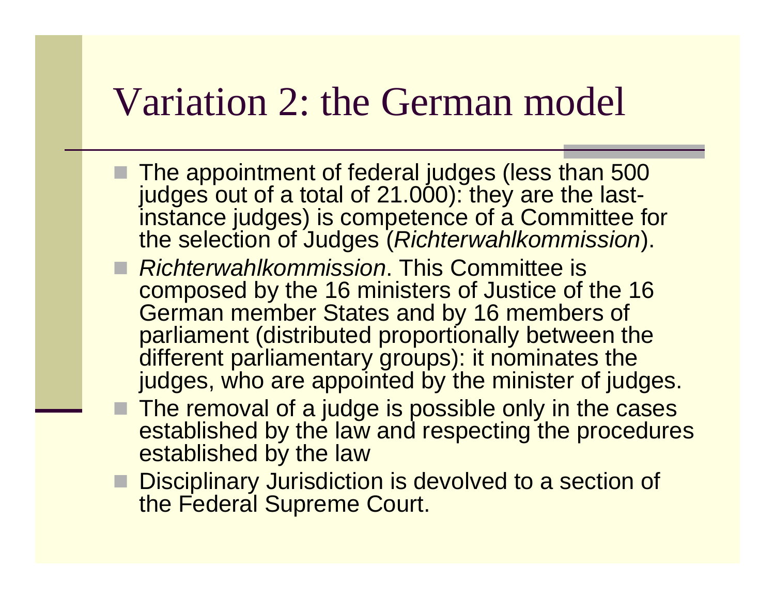### Variation 2: the German model

- The appointment of federal judges (less than 500<br>Findoes out of a total of 21,000); they are the lastjudges out of a total of 21.000): they are the last instance judges) is competence of a Committee for the selection of Judges (Richterwahlkommission).
- Richterwahlkommission. This Committee is<br>Composed by the 16 ministers of Justice of t composed by the 16 ministers of Justice of the 16 German member States and by 16 members of parliament (distributed proportionally between the different parliamentary groups): it nominates the judges, who are appointed by the minister of judges.
- The removal of a judge is possible only in the cases<br>established by the law and respecting the procedure established by the law and respecting the procedures established by the law
- Disciplinary Jurisdiction is devolved to a section of the Eederal Supreme Court the Federal Supreme Court.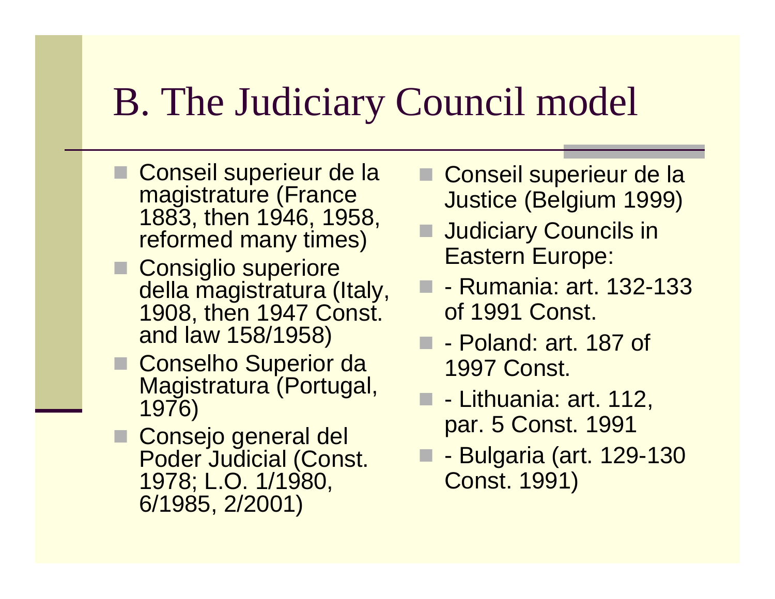# B. The Judiciary Council model

- Conseil superieur de la<br>magistrature (Erance magistrature (France 1883, then 1946, 1958, reformed many times)
- Consiglio superiore<br>della magistratura ( della magistratura (Italy, 1908, then 1947 Const. and law 158/1958)
- Conselho Superior da<br>Magistratura (Portuga Magistratura (Portugal, 1976)
- Consejo general del<br>Poder Judicial (Cons Poder Judicial (Const. 1978; L.O. 1/1980, 6/1985, 2/2001)
- Conseil superieur de la<br>Lucties (Bolsium 1000) Justice (Belgium 1999)
- Judiciary Councils in Eastern Europe:
- **D** Rumania: art. 132-133 of 1991 Const.
- **D** Poland: art. 187 of 1997 Const.
- - Lithuania: art. 112, par. 5 Const. 1991
- - Bulgaria (art. 129-130 Const. 1991)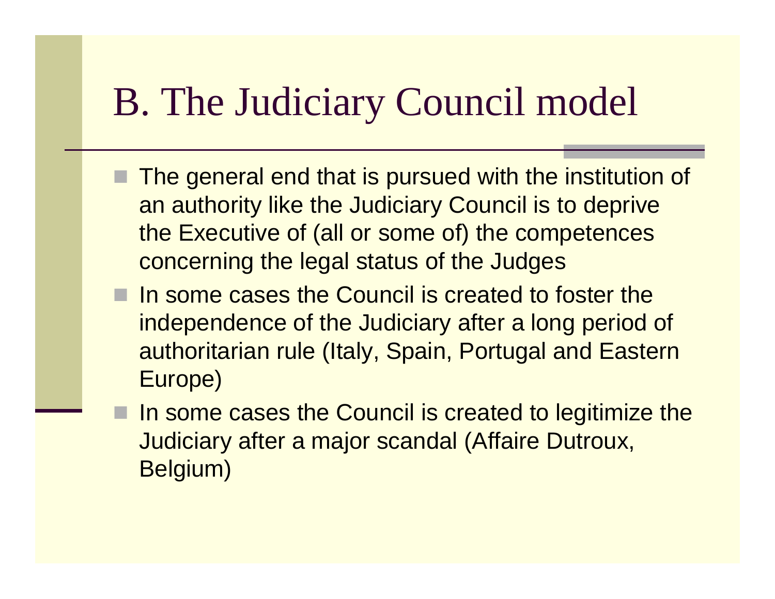# B. The Judiciary Council model

- The general end that is pursued with the institution of an authority like the Judiciary Council is to deprive the Executive of (all or some of) the competences concerning the legal status of the Judges
- In some cases the Council is created to foster the independence of the Judiciary after a long period of authoritarian rule (Italy, Spain, Portugal and Eastern Europe)
- In some cases the Council is created to legitimize the Judiciary after a major scandal (Affaire Dutroux, Belgium)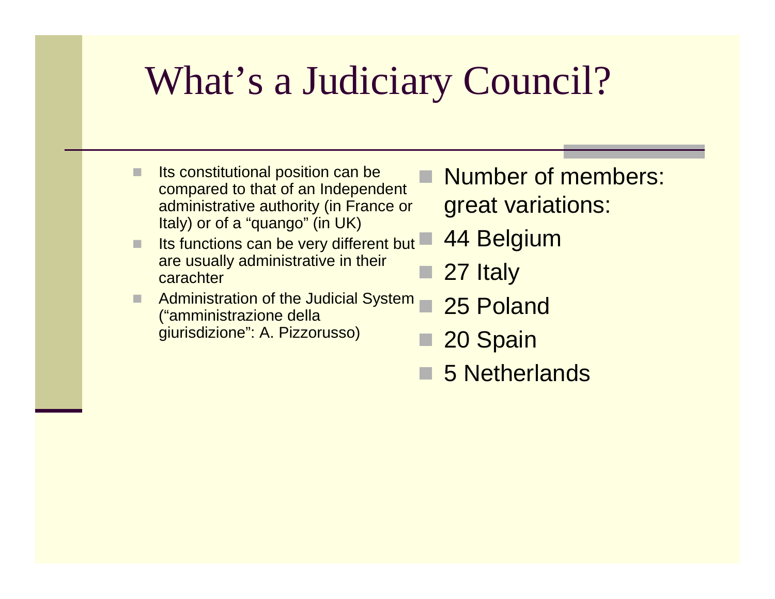# What's a Judiciary Council?

- Its constitutional position can be compared to that of an Independent administrative authority (in France or Italy) or of a "quango" (in UK)
- Its functions can be very different but are usually administrative in their carachter
- H Administration of the Judicial System ("amministrazione dellagiurisdizione": A. Pizzorusso)
- Number of members: great variations:
	- 44 Belgium
- 27 Italy
- 25 Poland
- 20 Spain
- 5 Netherlands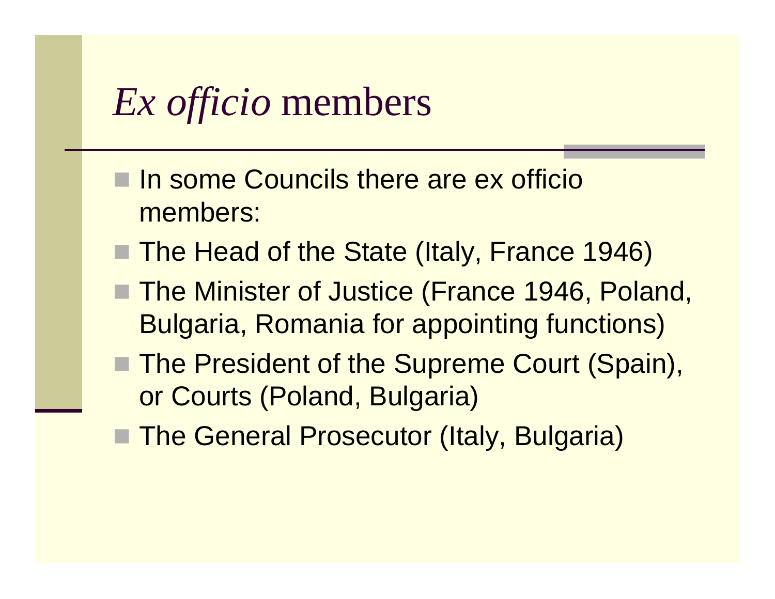# *Ex officio* members

- In some Councils there are ex officio members:
- The Head of the State (Italy, France 1946)
- The Minister of Justice (France 1946, Poland, Bulgaria, Romania for appointing functions)
- The President of the Supreme Court (Spain), or Courts (Poland, Bulgaria)
- The General Prosecutor (Italy, Bulgaria)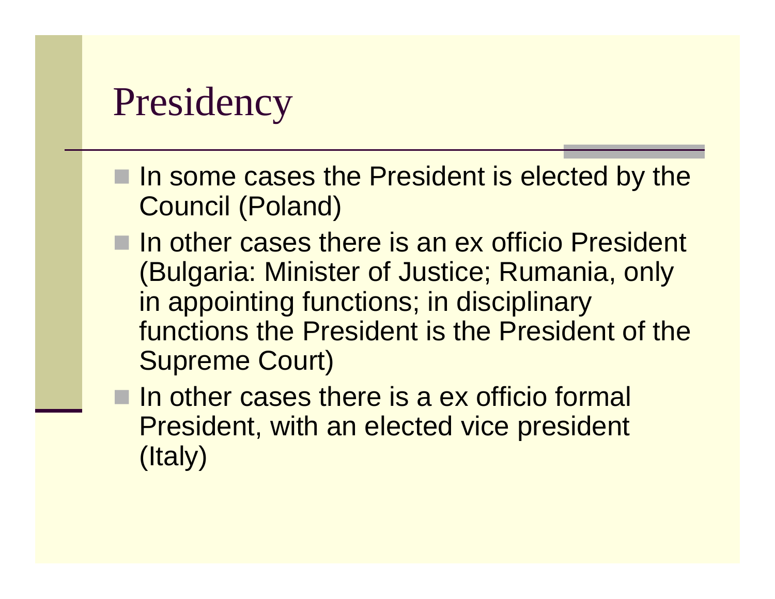# Presidency

- In some cases the President is elected by the Causeil (Raland) Council (Poland)
- In other cases there is an ex officio President<br>(Bulgeria: Minieter of Justica: Burgeria, anh (Bulgaria: Minister of Justice; Rumania, only in appointing functions; in disciplinary functions the President is the President of the Supreme Court)
- In other cases there is a ex officio formal President, with an elected vice president (Italy)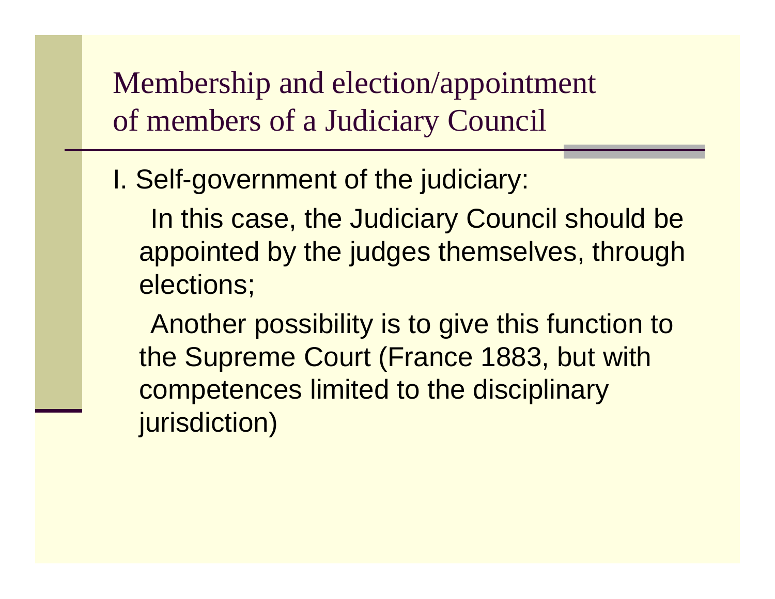Membership and election/appointment of members of a Judiciary Council

I. Self-government of the judiciary:

In this case, the Judiciary Council should be appointed by the judges themselves, through elections;

Another possibility is to give this function to the Supreme Court (France 1883, but with competences limited to the disciplinary jurisdiction)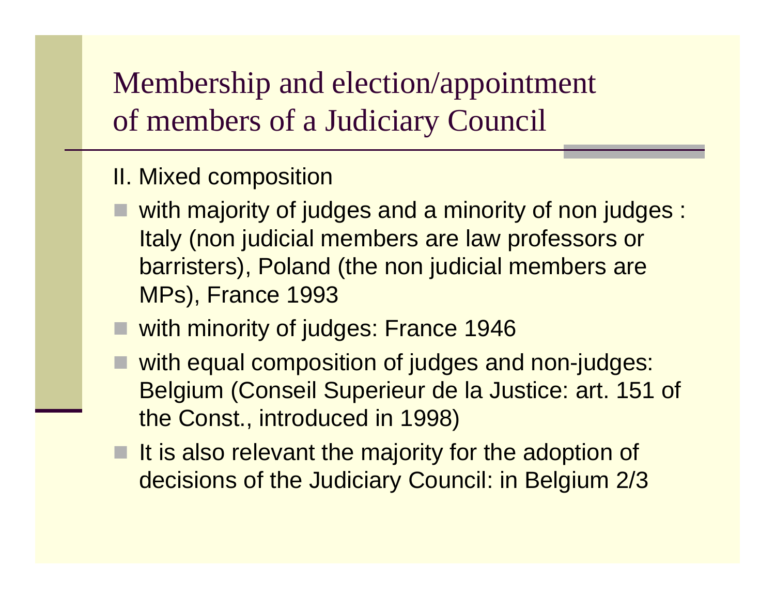#### Membership and election/appointment of members of a Judiciary Council

#### II. Mixed composition

- with majority of judges and a minority of non judges : Italy (non judicial members are law professors or barristers), Poland (the non judicial members are MPs), France 1993
- with minority of judges: France 1946
- with equal composition of judges and non-judges: Belgium (Conseil Superieur de la Justice: art. 151 of the Const., introduced in 1998)
- It is also relevant the majority for the adoption of decisions of the Judiciary Council: in Belgium 2/3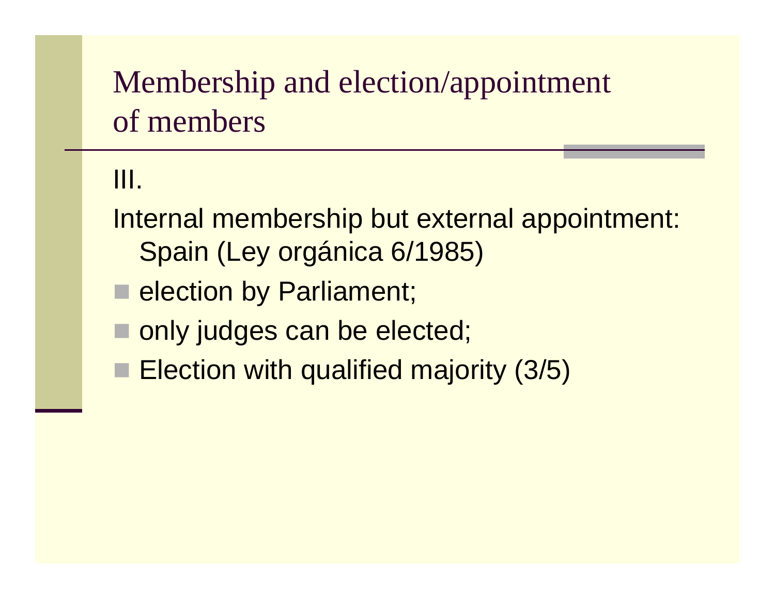#### Membership and election/appointment of members

#### III.

- Internal membership but external appointment: Spain (Ley orgánica 6/1985)
- **E** election by Parliament;
- **nonly judges can be elected;**
- **Election with qualified majority (3/5)**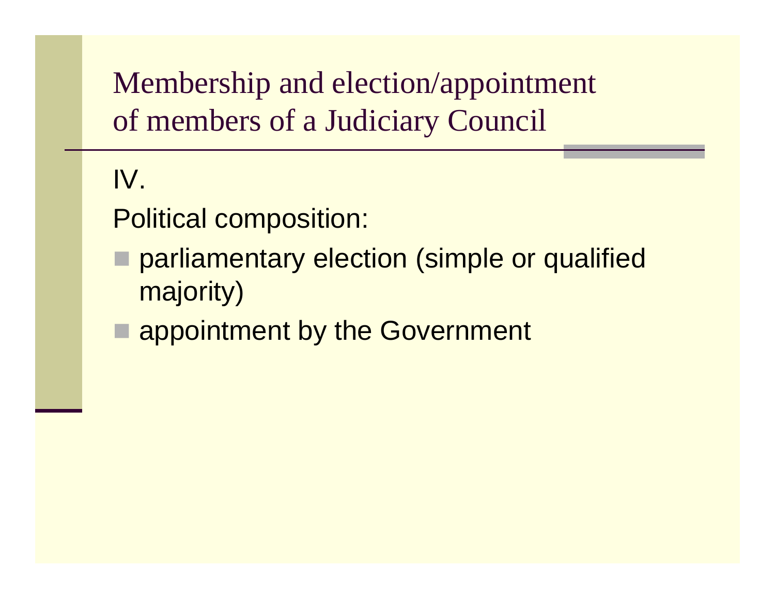Membership and election/appointment of members of a Judiciary Council

#### IV.

Political composition:

- parliamentary election (simple or qualified majority)
- **E appointment by the Government**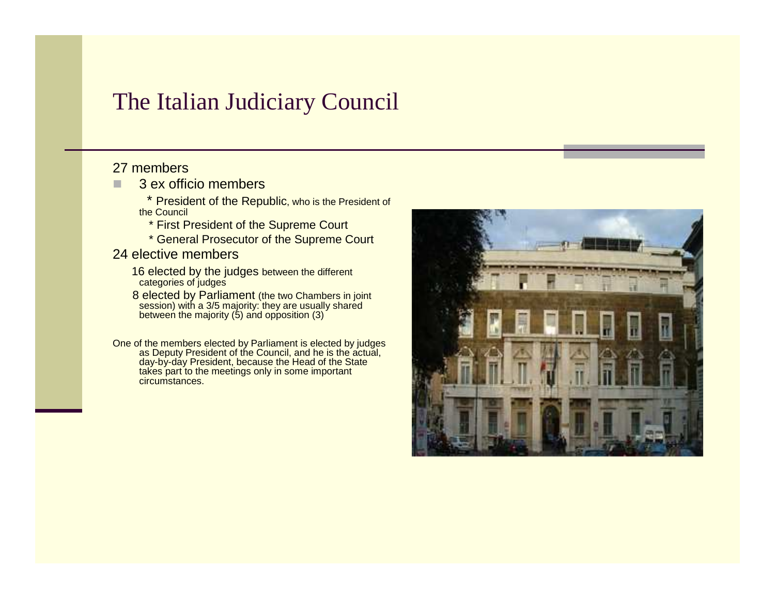#### The Italian Judiciary Council

#### 27 members

■ 3 ex officio members ■

\* President of the Republic, who is the President of the Council

- \* First President of the Supreme Court
- \* General Prosecutor of the Supreme Court

#### 24 elective members

- 16 elected by the judges between the different categories of judges
- 8 elected by Parliament (the two Chambers in joint session) with a 3/5 majority: they are usually shared between the majority (5) and opposition (3)

One of the members elected by Parliament is elected by judges as Deputy President of the Council, and he is the actual, day-by-day President, because the Head of the Statetakes part to the meetings only in some important circumstances.

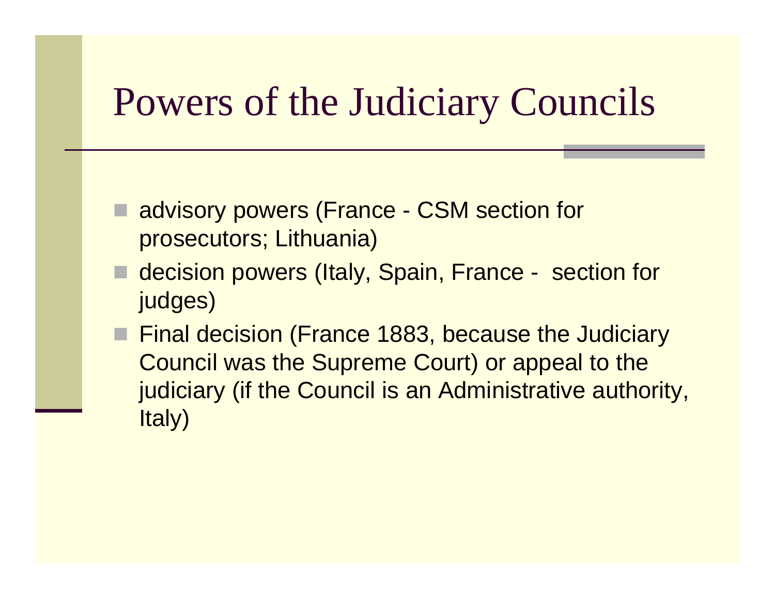# Powers of the Judiciary Councils

- advisory powers (France CSM section for prosecutors; Lithuania)
- decision powers (Italy, Spain, France section for judges)
- Final decision (France 1883, because the Judiciary Council was the Supreme Court) or appeal to the judiciary (if the Council is an Administrative authority, Italy)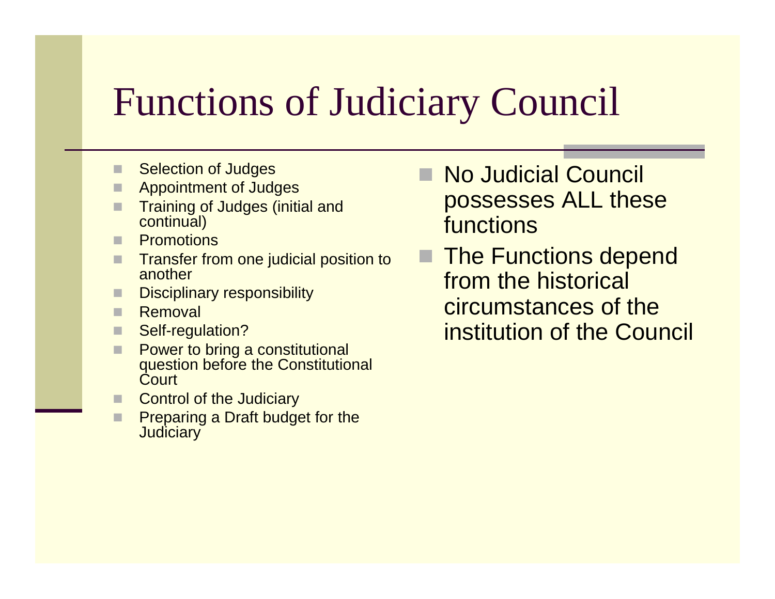# Functions of Judiciary Council

- П Selection of Judges
- Appointment of Judges
- П Training of Judges (initial and continual)
- **Promotions**  $\Box$
- П Transfer from one judicial position to another
- П Disciplinary responsibility
- п Removal
- П Self-regulation?
- П **Power to bring a constitutional**<br>Constitution before the Constitution question before the Constitutional **Court**
- Control of the Judiciary
- □ Preparing a Draft budget for the **Judiciary**
- No Judicial Council possesses ALL these functions
- The Functions depend from the historical circumstances of the institution of the Council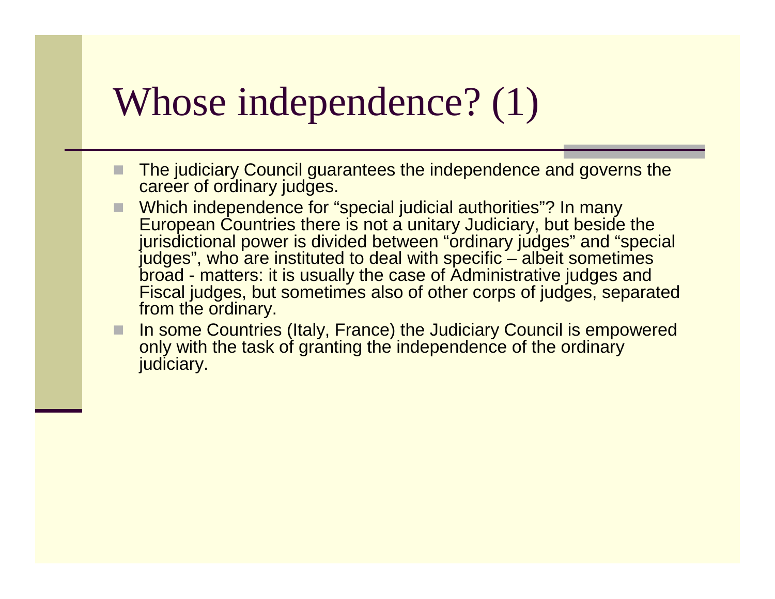### Whose independence? (1)

- The judiciary Council guarantees the independence and governs the career of ordinary judges.
- Which independence for "special judicial authorities"? In many<br>European Countries there is not a unitary Judiciary but boside H European Countries there is not a unitary Judiciary, but beside the jurisdictional power is divided between "ordinary judges" and "special judges", who are instituted to deal with specific – albeit sometimes broad - matters: it is usually the case of Administrative judges and Fiscal judges, but sometimes also of other corps of judges, separated from the ordinary.
- E In some Countries (Italy, France) the Judiciary Council is empowered only with the task of granting the independence of the ordinary judiciary.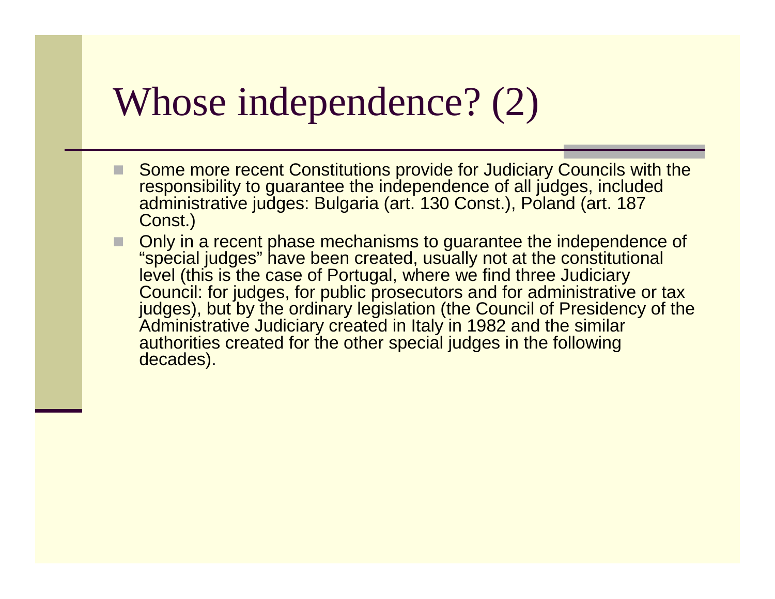### Whose independence? (2)

- Some more recent Constitutions provide for Judiciary Councils with the responsibility to guarantee the independence of all judges, included administrative judges: Bulgaria (art. 130 Const.), Poland (art. 187 Const.)
- Only in a recent phase mechanisms to guarantee the independence of "special judges" have been created usually not at the constitutional П "special judges" have been created, usually not at the constitutional level (this is the case of Portugal, where we find three Judiciary Council: for judges, for public prosecutors and for administrative or tax judges), but by the ordinary legislation (the Council of Presidency of the Administrative Judiciary created in Italy in 1982 and the similar authorities created for the other special judges in the following decades).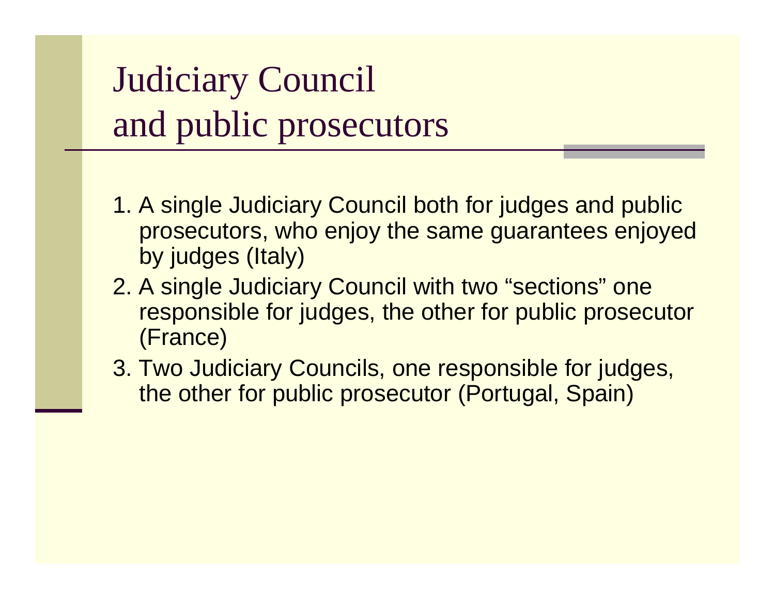# Judiciary Council and public prosecutors

- 1. A single Judiciary Council both for judges and public prosecutors, who enjoy the same guarantees enjoyed by judges (Italy)
- 2. A single Judiciary Council with two "sections" one responsible for judges, the other for public prosecutor (France)
- 3. Two Judiciary Councils, one responsible for judges, the other for public prosecutor (Portugal, Spain)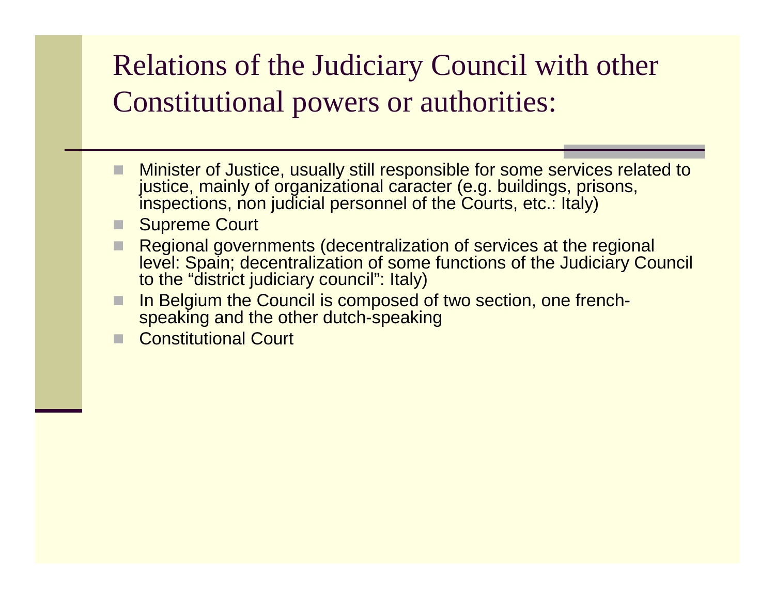#### Relations of the Judiciary Council with other Constitutional powers or authorities:

- Minister of Justice, usually still responsible for some services related to justice, mainly of organizational caracter (e.g. buildings, prisons, inspections, non judicial personnel of the Courts, etc. italy)
- H Supreme Court
- Regional governments (decentralization of services at the regional<br>level: Spain: decentralization of some functions of the Judiciary Cou level: Spain; decentralization of some functions of the Judiciary Council to the "district judiciary council": Italy)
- In Belgium the Council is composed of two section, one french-<br>spoaking and the other dutch-spoaking E speaking and the other dutch-speaking
- Constitutional Court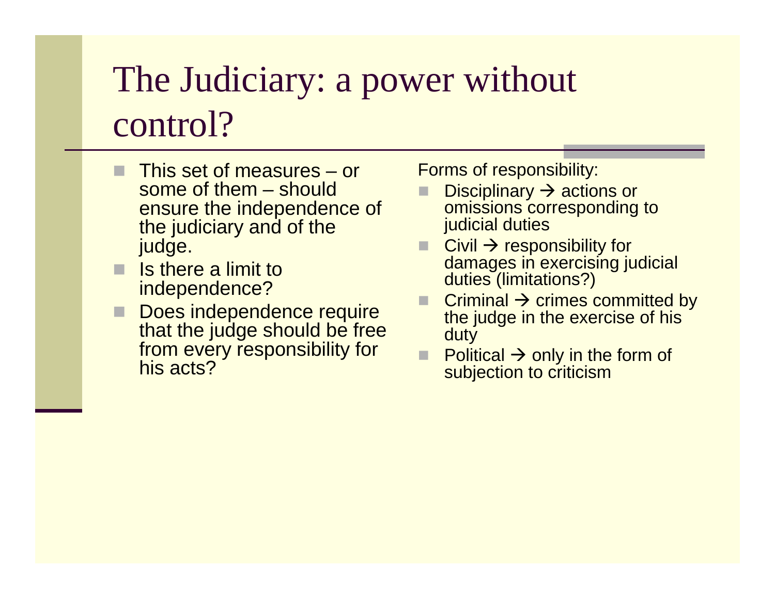# The Judiciary: a power without control?

- This set of measures or some of them – should ensure the independence of the judiciary and of the judge.
- $\blacksquare$  Is there a limit to independence? independence?
- Does independence require<br>that the judge should be free that the judge should be free from every responsibility for his acts?

Forms of responsibility:

- **Disciplinary**  $\rightarrow$  omissions corr Disciplinary → actions or<br>omissions corresponding to judicial duties
- $\Box$  Civil  $\rightarrow$  responsion Civil → responsibility for<br>damages in exercising judicial duties (limitations?)
- Criminal  $\rightarrow$  crimes committed by<br>the judge in the exercise of his the judge in the exercise of his duty
- $\Box$  Political  $\rightarrow$  only in the form of subjection to criticism subjection to criticism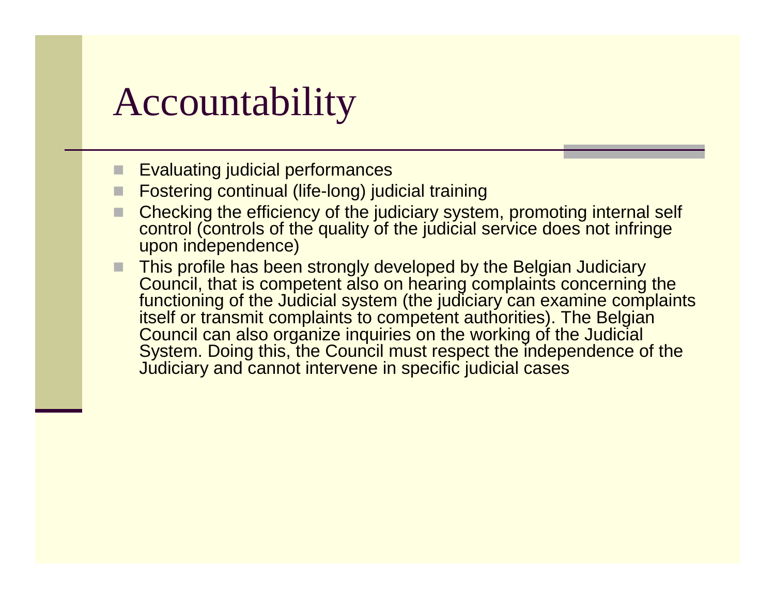# Accountability

- Evaluating judicial performances
- П Fostering continual (life-long) judicial training
- E Checking the efficiency of the judiciary system, promoting internal self control (controls of the quality of the judicial service does not infringe upon independence)
- This profile has been strongly developed by the Belgian Judiciary<br>Council, that is compatent also an bearing complaints concerning Council, that is competent also on hearing complaints concerning the functioning of the Judicial system (the judiciary can examine complaints itself or transmit complaints to competent authorities). The Belgian Council can also organize inquiries on the working of the Judicial System. Doing this, the Council must respect the independence of the Judiciary and cannot intervene in specific judicial cases